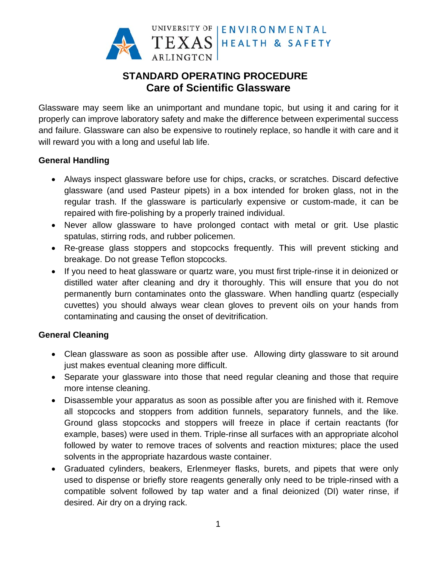

# **STANDARD OPERATING PROCEDURE Care of Scientific Glassware**

Glassware may seem like an unimportant and mundane topic, but using it and caring for it properly can improve laboratory safety and make the difference between experimental success and failure. Glassware can also be expensive to routinely replace, so handle it with care and it will reward you with a long and useful lab life.

# **General Handling**

- Always inspect glassware before use for chips, cracks, or scratches. Discard defective glassware (and used Pasteur pipets) in a box intended for broken glass, not in the regular trash. If the glassware is particularly expensive or custom-made, it can be repaired with fire-polishing by a properly trained individual.
- Never allow glassware to have prolonged contact with metal or grit. Use plastic spatulas, stirring rods, and rubber policemen.
- Re-grease glass stoppers and stopcocks frequently. This will prevent sticking and breakage. Do not grease Teflon stopcocks.
- If you need to heat glassware or quartz ware, you must first triple-rinse it in deionized or distilled water after cleaning and dry it thoroughly. This will ensure that you do not permanently burn contaminates onto the glassware. When handling quartz (especially cuvettes) you should always wear clean gloves to prevent oils on your hands from contaminating and causing the onset of devitrification.

# **General Cleaning**

- Clean glassware as soon as possible after use. Allowing dirty glassware to sit around just makes eventual cleaning more difficult.
- Separate your glassware into those that need regular cleaning and those that require more intense cleaning.
- Disassemble your apparatus as soon as possible after you are finished with it. Remove all stopcocks and stoppers from addition funnels, separatory funnels, and the like. Ground glass stopcocks and stoppers will freeze in place if certain reactants (for example, bases) were used in them. Triple-rinse all surfaces with an appropriate alcohol followed by water to remove traces of solvents and reaction mixtures; place the used solvents in the appropriate hazardous waste container.
- Graduated cylinders, beakers, Erlenmeyer flasks, burets, and pipets that were only used to dispense or briefly store reagents generally only need to be triple-rinsed with a compatible solvent followed by tap water and a final deionized (DI) water rinse, if desired. Air dry on a drying rack.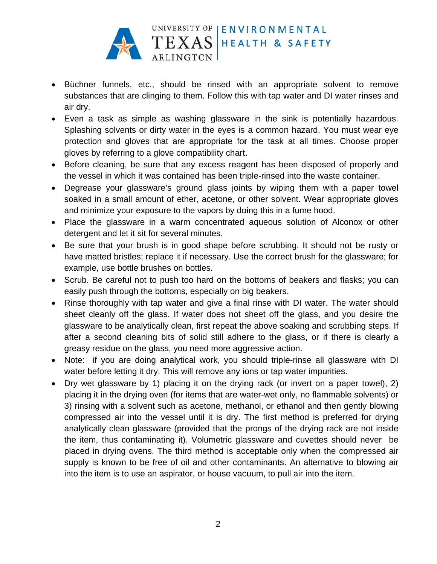

- Büchner funnels, etc., should be rinsed with an appropriate solvent to remove substances that are clinging to them. Follow this with tap water and DI water rinses and air dry.
- Even a task as simple as washing glassware in the sink is potentially hazardous. Splashing solvents or dirty water in the eyes is a common hazard. You must wear eye protection and gloves that are appropriate for the task at all times. Choose proper gloves by referring to a glove compatibility chart.
- Before cleaning, be sure that any excess reagent has been disposed of properly and the vessel in which it was contained has been triple-rinsed into the waste container.
- Degrease your glassware's ground glass joints by wiping them with a paper towel soaked in a small amount of ether, acetone, or other solvent. Wear appropriate gloves and minimize your exposure to the vapors by doing this in a fume hood.
- Place the glassware in a warm concentrated aqueous solution of Alconox or other detergent and let it sit for several minutes.
- Be sure that your brush is in good shape before scrubbing. It should not be rusty or have matted bristles; replace it if necessary. Use the correct brush for the glassware; for example, use bottle brushes on bottles.
- Scrub. Be careful not to push too hard on the bottoms of beakers and flasks; you can easily push through the bottoms, especially on big beakers.
- Rinse thoroughly with tap water and give a final rinse with DI water. The water should sheet cleanly off the glass. If water does not sheet off the glass, and you desire the glassware to be analytically clean, first repeat the above soaking and scrubbing steps. If after a second cleaning bits of solid still adhere to the glass, or if there is clearly a greasy residue on the glass, you need more aggressive action.
- Note: if you are doing analytical work, you should triple-rinse all glassware with DI water before letting it dry. This will remove any ions or tap water impurities.
- Dry wet glassware by 1) placing it on the drying rack (or invert on a paper towel), 2) placing it in the drying oven (for items that are water-wet only, no flammable solvents) or 3) rinsing with a solvent such as acetone, methanol, or ethanol and then gently blowing compressed air into the vessel until it is dry. The first method is preferred for drying analytically clean glassware (provided that the prongs of the drying rack are not inside the item, thus contaminating it). Volumetric glassware and cuvettes should never be placed in drying ovens. The third method is acceptable only when the compressed air supply is known to be free of oil and other contaminants. An alternative to blowing air into the item is to use an aspirator, or house vacuum, to pull air into the item.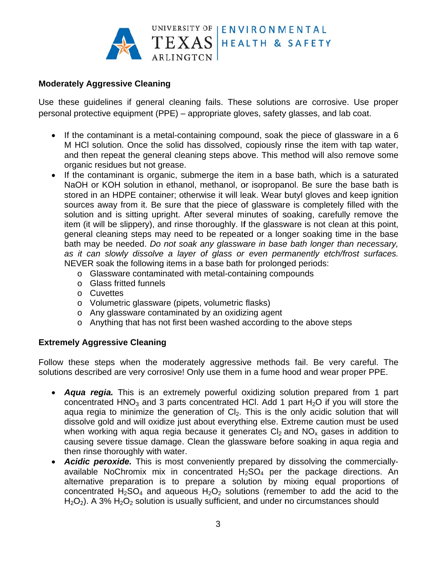

# **Moderately Aggressive Cleaning**

Use these quidelines if general cleaning fails. These solutions are corrosive. Use proper personal protective equipment (PPE) – appropriate gloves, safety glasses, and lab coat.

- If the contaminant is a metal-containing compound, soak the piece of glassware in a 6 M HCI solution. Once the solid has dissolved, copiously rinse the item with tap water, and then repeat the general cleaning steps above. This method will also remove some organic residues but not grease.
- If the contaminant is organic, submerge the item in a base bath, which is a saturated  $\bullet$ NaOH or KOH solution in ethanol, methanol, or isopropanol. Be sure the base bath is stored in an HDPE container; otherwise it will leak. Wear butyl gloves and keep ignition sources away from it. Be sure that the piece of glassware is completely filled with the solution and is sitting upright. After several minutes of soaking, carefully remove the item (it will be slippery), and rinse thoroughly. If the glassware is not clean at this point, general cleaning steps may need to be repeated or a longer soaking time in the base bath may be needed. Do not soak any glassware in base bath longer than necessary, as it can slowly dissolve a layer of glass or even permanently etch/frost surfaces. NEVER soak the following items in a base bath for prolonged periods:
	- o Glassware contaminated with metal-containing compounds
	- o Glass fritted funnels
	- o Cuvettes
	- o Volumetric glassware (pipets, volumetric flasks)
	- o Any glassware contaminated by an oxidizing agent
	- o Anything that has not first been washed according to the above steps

# **Extremely Aggressive Cleaning**

Follow these steps when the moderately aggressive methods fail. Be very careful. The solutions described are very corrosive! Only use them in a fume hood and wear proper PPE.

- Agua regia. This is an extremely powerful oxidizing solution prepared from 1 part concentrated  $HNO<sub>3</sub>$  and 3 parts concentrated HCI. Add 1 part H<sub>2</sub>O if you will store the aqua regia to minimize the generation of CI<sub>2</sub>. This is the only acidic solution that will dissolve gold and will oxidize just about everything else. Extreme caution must be used when working with agua regia because it generates  $Cl_2$  and  $NO_x$  gases in addition to causing severe tissue damage. Clean the glassware before soaking in aqua regia and then rinse thoroughly with water.
- Acidic peroxide. This is most conveniently prepared by dissolving the commerciallyavailable NoChromix mix in concentrated  $H_2SO_4$  per the package directions. An alternative preparation is to prepare a solution by mixing equal proportions of concentrated  $H_2SO_4$  and aqueous  $H_2O_2$  solutions (remember to add the acid to the  $H_2O_2$ ). A 3%  $H_2O_2$  solution is usually sufficient, and under no circumstances should